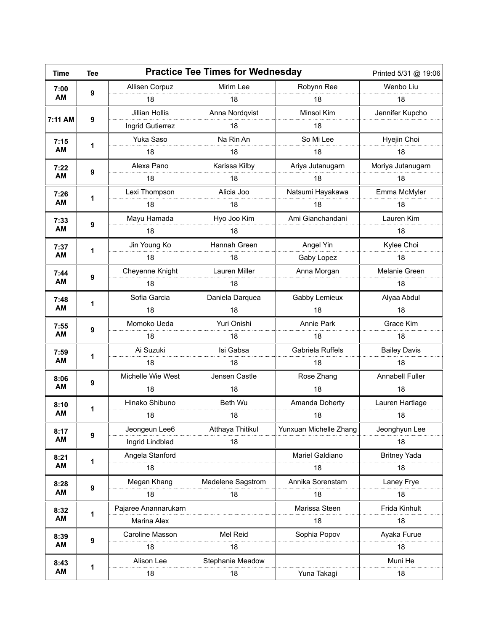| <b>Time</b> | <b>Tee</b>       |                       | <b>Practice Tee Times for Wednesday</b> | Printed 5/31 @ 19:06   |                     |  |
|-------------|------------------|-----------------------|-----------------------------------------|------------------------|---------------------|--|
| 7:00<br>AM  | 9                | Allisen Corpuz        | Mirim Lee                               | Robynn Ree             | Wenbo Liu           |  |
|             |                  | 18                    | 18                                      | 18                     | 18                  |  |
| 7:11 AM     | 9                | <b>Jillian Hollis</b> | Anna Nordqvist                          | <b>Minsol Kim</b>      | Jennifer Kupcho     |  |
|             |                  | Ingrid Gutierrez      | 18                                      | 18                     |                     |  |
| 7:15<br>AM  | 1                | Yuka Saso             | Na Rin An                               | So Mi Lee              | Hyejin Choi         |  |
|             |                  | 18                    | 18                                      | 18                     | 18                  |  |
| 7:22<br>AM  | 9                | Alexa Pano            | Karissa Kilby                           | Ariya Jutanugarn       | Moriya Jutanugarn   |  |
|             |                  | 18                    | 18                                      | 18                     | 18                  |  |
| 7:26<br>AM  | 1                | Lexi Thompson         | Alicia Joo                              | Natsumi Hayakawa       | Emma McMyler        |  |
|             |                  | 18                    | 18                                      | 18                     | 18                  |  |
| 7:33        | 9                | Mayu Hamada           | Hyo Joo Kim                             | Ami Gianchandani       | Lauren Kim          |  |
| AM          |                  | 18                    | 18                                      |                        | 18                  |  |
| 7:37        |                  | Jin Young Ko          | Hannah Green                            | Angel Yin              | Kylee Choi          |  |
| AM          | 1                | 18                    | 18                                      | Gaby Lopez             | 18                  |  |
| 7:44        |                  | Cheyenne Knight       | Lauren Miller                           | Anna Morgan            | Melanie Green       |  |
| AM          | 9                | 18                    | 18                                      |                        | 18                  |  |
| 7:48        | 1                | Sofia Garcia          | Daniela Darquea                         | Gabby Lemieux          | Alyaa Abdul         |  |
| AM          |                  | 18                    | 18                                      | 18                     | 18                  |  |
| 7:55        | 9                | Momoko Ueda           | Yuri Onishi                             | <b>Annie Park</b>      | Grace Kim           |  |
| AM          |                  | 18                    | 18                                      | 18                     | 18                  |  |
| 7:59        | 1                | Ai Suzuki             | Isi Gabsa                               | Gabriela Ruffels       | <b>Bailey Davis</b> |  |
| AM          |                  | 18                    | 18                                      | 18                     | 18                  |  |
| 8:06        | 9                | Michelle Wie West     | Jensen Castle                           | Rose Zhang             | Annabell Fuller     |  |
| AM          |                  | 18                    | 18                                      | 18                     | 18                  |  |
| 8:10<br>AM  | 1                | Hinako Shibuno        | Beth Wu                                 | Amanda Doherty         | Lauren Hartlage     |  |
|             |                  | 18                    | 18                                      | 18                     | 18                  |  |
| 8:17<br>AM  | 9                | Jeongeun Lee6         | Atthaya Thitikul                        | Yunxuan Michelle Zhang | Jeonghyun Lee       |  |
|             |                  | Ingrid Lindblad       | 18                                      |                        | 18                  |  |
| 8:21<br>AM  | 1                | Angela Stanford       |                                         | Mariel Galdiano        | <b>Britney Yada</b> |  |
|             |                  | 18                    |                                         | 18                     | 18                  |  |
| 8:28<br>AM  | $\boldsymbol{9}$ | Megan Khang           | Madelene Sagstrom                       | Annika Sorenstam       | Laney Frye          |  |
|             |                  | 18                    | 18                                      | 18                     | 18                  |  |
| 8:32<br>AM  | 1                | Pajaree Anannarukarn  |                                         | Marissa Steen          | Frida Kinhult       |  |
|             |                  | Marina Alex           |                                         | 18                     | 18                  |  |
| 8:39<br>AM  | 9                | Caroline Masson       | Mel Reid                                | Sophia Popov           | Ayaka Furue         |  |
|             |                  | 18                    | 18                                      |                        | 18                  |  |
| 8:43<br>AM  | 1                | Alison Lee            | Stephanie Meadow                        |                        | Muni He             |  |
|             |                  | 18                    | 18                                      | Yuna Takagi            | 18                  |  |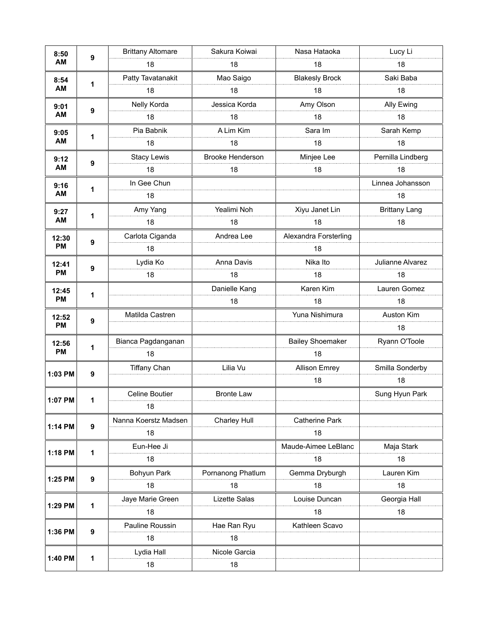| 8:50<br>AM         | 9 | <b>Brittany Altomare</b> | Sakura Koiwai           | Nasa Hataoka            | Lucy Li              |
|--------------------|---|--------------------------|-------------------------|-------------------------|----------------------|
|                    |   | 18                       | 18                      | 18                      | 18                   |
| 8:54<br>AM         |   | Patty Tavatanakit        | Mao Saigo               | <b>Blakesly Brock</b>   | Saki Baba            |
|                    | 1 | 18                       | 18                      | 18                      | 18                   |
| 9:01<br>AM         |   | Nelly Korda              | Jessica Korda           | Amy Olson               | Ally Ewing           |
|                    | 9 | 18                       | 18                      | 18                      | 18                   |
| 9:05<br>AM         | 1 | Pia Babnik               | A Lim Kim               | Sara Im                 | Sarah Kemp           |
|                    |   | 18                       | 18                      | 18                      | 18                   |
| 9:12<br>AM         | 9 | <b>Stacy Lewis</b>       | <b>Brooke Henderson</b> | Minjee Lee              | Pernilla Lindberg    |
|                    |   | 18                       | 18                      | 18                      | 18                   |
| 9:16               | 1 | In Gee Chun              |                         |                         | Linnea Johansson     |
| AM                 |   | 18                       |                         |                         | 18                   |
| 9:27<br>AM         |   | Amy Yang                 | Yealimi Noh             | Xiyu Janet Lin          | <b>Brittany Lang</b> |
|                    | 1 | 18                       | 18                      | 18                      | 18                   |
| 12:30<br><b>PM</b> |   | Carlota Ciganda          | Andrea Lee              | Alexandra Forsterling   |                      |
|                    | 9 | 18                       |                         | 18                      |                      |
| 12:41<br><b>PM</b> |   | Lydia Ko                 | Anna Davis              | Nika Ito                | Julianne Alvarez     |
|                    | 9 | 18                       | 18                      | 18                      | 18                   |
| 12:45              |   |                          | Danielle Kang           | Karen Kim               | Lauren Gomez         |
| <b>PM</b>          | 1 |                          | 18                      | 18                      | 18                   |
| 12:52<br><b>PM</b> | 9 | Matilda Castren          |                         | Yuna Nishimura          | Auston Kim           |
|                    |   |                          |                         |                         | 18                   |
| 12:56              | 1 | Bianca Pagdanganan       |                         | <b>Bailey Shoemaker</b> | Ryann O'Toole        |
| <b>PM</b>          |   | 18                       |                         | 18                      |                      |
|                    | 9 | <b>Tiffany Chan</b>      | Lilia Vu                | <b>Allison Emrey</b>    | Smilla Sonderby      |
| 1:03 PM            |   |                          |                         | 18                      | 18                   |
| 1:07 PM            | 1 | Celine Boutier           | <b>Bronte Law</b>       |                         | Sung Hyun Park       |
|                    |   | 18                       |                         |                         |                      |
| 1:14 PM            | 9 | Nanna Koerstz Madsen     | Charley Hull            | Catherine Park          |                      |
|                    |   | 18                       |                         | 18                      |                      |
|                    | 1 | Eun-Hee Ji               |                         | Maude-Aimee LeBlanc     | Maja Stark           |
| 1:18 PM            |   | 18                       |                         | 18                      | 18                   |
| 1:25 PM            | 9 | Bohyun Park              | Pornanong Phatlum       | Gemma Dryburgh          | Lauren Kim           |
|                    |   | 18                       | 18                      | 18                      | 18                   |
| 1:29 PM            | 1 | Jaye Marie Green         | Lizette Salas           | Louise Duncan           | Georgia Hall         |
|                    |   | 18                       |                         | 18                      | 18                   |
| 1:36 PM            | 9 | Pauline Roussin          | Hae Ran Ryu             | Kathleen Scavo          |                      |
|                    |   | 18                       | 18                      |                         |                      |
| 1:40 PM            | 1 | Lydia Hall               | Nicole Garcia           |                         |                      |
|                    |   | 18                       | 18                      |                         |                      |